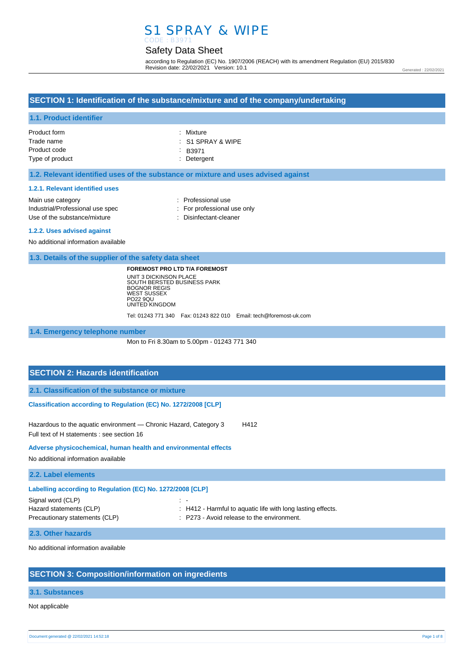## S1 SPRAY & WIPE CODE : B3971

## Safety Data Sheet

according to Regulation (EC) No. 1907/2006 (REACH) with its amendment Regulation (EU) 2015/830 Revision date: 22/02/2021 Version: 10.1

Generated : 22/02/2021

## **SECTION 1: Identification of the substance/mixture and of the company/undertaking**

### **1.1. Product identifier**

| Product form    | : Mixture                    |
|-----------------|------------------------------|
| Trade name      | $\therefore$ S1 SPRAY & WIPE |
| Product code    | $\therefore$ B3971           |
| Type of product | : Detergent                  |
|                 |                              |

#### **1.2. Relevant identified uses of the substance or mixture and uses advised against**

#### **1.2.1. Relevant identified uses**

| Main use category                | : Professional use          |
|----------------------------------|-----------------------------|
| Industrial/Professional use spec | : For professional use only |
| Use of the substance/mixture     | : Disinfectant-cleaner      |
|                                  |                             |

#### **1.2.2. Uses advised against**

No additional information available

**1.3. Details of the supplier of the safety data sheet**

**FOREMOST PRO LTD T/A FOREMOST** UNIT 3 DICKINSON PLACE SOUTH BERSTED BUSINESS PARK BOGNOR REGIS WEST SUSSEX PO22 9QU UNITED KINGDOM

Tel: 01243 771 340 Fax: 01243 822 010 Email: tech@foremost-uk.com

**1.4. Emergency telephone number**

Mon to Fri 8.30am to 5.00pm - 01243 771 340

### **SECTION 2: Hazards identification**

**2.1. Classification of the substance or mixture**

**Classification according to Regulation (EC) No. 1272/2008 [CLP]** 

Hazardous to the aquatic environment - Chronic Hazard, Category 3 H412 Full text of H statements : see section 16

**Adverse physicochemical, human health and environmental effects** 

No additional information available

**2.2. Label elements**

| Labelling according to Regulation (EC) No. 1272/2008 [CLP] |                                                             |  |
|------------------------------------------------------------|-------------------------------------------------------------|--|
| Signal word (CLP)                                          | $\sim$ $-$                                                  |  |
| Hazard statements (CLP)                                    | : H412 - Harmful to aquatic life with long lasting effects. |  |
| Precautionary statements (CLP)                             | : P273 - Avoid release to the environment.                  |  |

#### **2.3. Other hazards**

No additional information available

### **SECTION 3: Composition/information on ingredients**

#### **3.1. Substances**

Not applicable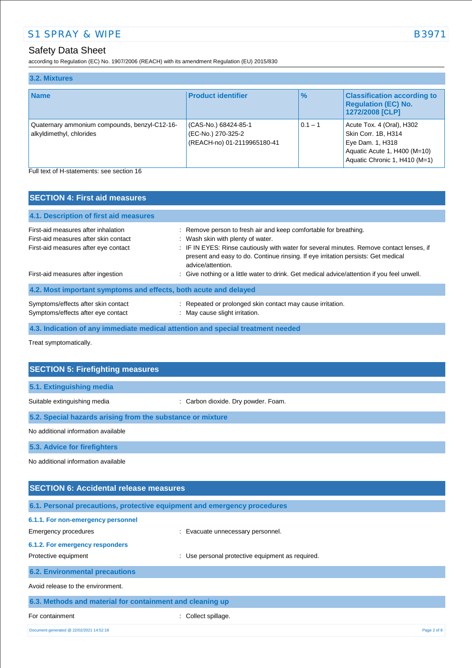## Safety Data Sheet

according to Regulation (EC) No. 1907/2006 (REACH) with its amendment Regulation (EU) 2015/830

| 3.2. Mixtures                                                             |                                                                           |               |                                                                                                                                       |
|---------------------------------------------------------------------------|---------------------------------------------------------------------------|---------------|---------------------------------------------------------------------------------------------------------------------------------------|
| <b>Name</b>                                                               | <b>Product identifier</b>                                                 | $\frac{9}{6}$ | <b>Classification according to</b><br><b>Regulation (EC) No.</b><br>1272/2008 [CLP]                                                   |
| Quaternary ammonium compounds, benzyl-C12-16-<br>alkyldimethyl, chlorides | (CAS-No.) 68424-85-1<br>(EC-No.) 270-325-2<br>(REACH-no) 01-2119965180-41 | $0.1 - 1$     | Acute Tox. 4 (Oral), H302<br>Skin Corr. 1B, H314<br>Eye Dam. 1, H318<br>Aquatic Acute 1, H400 (M=10)<br>Aquatic Chronic 1, H410 (M=1) |

Full text of H-statements: see section 16

| <b>SECTION 4: First aid measures</b>                                                                                 |                                                                                                                                                                                                                                                                                                             |
|----------------------------------------------------------------------------------------------------------------------|-------------------------------------------------------------------------------------------------------------------------------------------------------------------------------------------------------------------------------------------------------------------------------------------------------------|
| 4.1. Description of first aid measures                                                                               |                                                                                                                                                                                                                                                                                                             |
| First-aid measures after inhalation<br>First-aid measures after skin contact<br>First-aid measures after eye contact | : Remove person to fresh air and keep comfortable for breathing.<br>: Wash skin with plenty of water.<br>: IF IN EYES: Rinse cautiously with water for several minutes. Remove contact lenses, if<br>present and easy to do. Continue rinsing. If eye irritation persists: Get medical<br>advice/attention. |
| First-aid measures after ingestion                                                                                   | : Give nothing or a little water to drink. Get medical advice/attention if you feel unwell.                                                                                                                                                                                                                 |
| 4.2. Most important symptoms and effects, both acute and delayed                                                     |                                                                                                                                                                                                                                                                                                             |
| Symptoms/effects after skin contact<br>Symptoms/effects after eye contact                                            | : Repeated or prolonged skin contact may cause irritation.<br>: May cause slight irritation.                                                                                                                                                                                                                |
| 4.3. Indication of any immediate medical attention and special treatment needed                                      |                                                                                                                                                                                                                                                                                                             |

Treat symptomatically.

| <b>SECTION 5: Firefighting measures</b>                                  |                                     |  |
|--------------------------------------------------------------------------|-------------------------------------|--|
| 5.1. Extinguishing media                                                 |                                     |  |
| Suitable extinguishing media                                             | : Carbon dioxide. Dry powder. Foam. |  |
| 5.2. Special hazards arising from the substance or mixture               |                                     |  |
| No additional information available                                      |                                     |  |
| 5.3. Advice for firefighters                                             |                                     |  |
| No additional information available                                      |                                     |  |
|                                                                          |                                     |  |
| <b>SECTION 6: Accidental release measures</b>                            |                                     |  |
| 6.1. Personal precautions, protective equipment and emergency procedures |                                     |  |
| 6.1.1. For non-emergency personnel                                       |                                     |  |

Emergency procedures **in the contract of the Contract Contract Evacuate unnecessary personnel. 6.1.2. For emergency responders**  Protective equipment **interest in the COV** MS Use personal protective equipment as required. **6.2. Environmental precautions** Avoid release to the environment. **6.3. Methods and material for containment and cleaning up** For containment : Collect spillage.

Document generated @ 22/02/2021 14:52:18 Page 2 of 8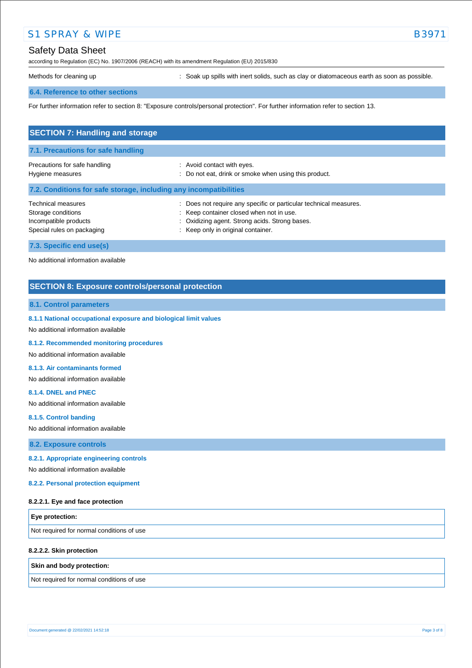## Safety Data Sheet

according to Regulation (EC) No. 1907/2006 (REACH) with its amendment Regulation (EU) 2015/830

Methods for cleaning up **interpret in the spills** with inert solids, such as clay or diatomaceous earth as soon as possible.

### **6.4. Reference to other sections**

For further information refer to section 8: "Exposure controls/personal protection". For further information refer to section 13.

| <b>SECTION 7: Handling and storage</b>                                                          |                                                                                                                                                                                                     |  |
|-------------------------------------------------------------------------------------------------|-----------------------------------------------------------------------------------------------------------------------------------------------------------------------------------------------------|--|
| 7.1. Precautions for safe handling                                                              |                                                                                                                                                                                                     |  |
| Precautions for safe handling<br>Hygiene measures                                               | : Avoid contact with eyes.<br>: Do not eat, drink or smoke when using this product.                                                                                                                 |  |
| 7.2. Conditions for safe storage, including any incompatibilities                               |                                                                                                                                                                                                     |  |
| Technical measures<br>Storage conditions<br>Incompatible products<br>Special rules on packaging | Does not require any specific or particular technical measures.<br>: Keep container closed when not in use.<br>: Oxidizing agent. Strong acids. Strong bases.<br>: Keep only in original container. |  |
| 7.3. Specific end use(s)                                                                        |                                                                                                                                                                                                     |  |

No additional information available

### **SECTION 8: Exposure controls/personal protection**

#### **8.1. Control parameters**

**8.1.1 National occupational exposure and biological limit values** 

No additional information available

**8.1.2. Recommended monitoring procedures** 

No additional information available

#### **8.1.3. Air contaminants formed**

No additional information available

#### **8.1.4. DNEL and PNEC**

No additional information available

**8.1.5. Control banding** 

No additional information available

**8.2. Exposure controls**

#### **8.2.1. Appropriate engineering controls**

No additional information available

**8.2.2. Personal protection equipment** 

#### **8.2.2.1. Eye and face protection**

| <b>Eye protection:</b>                    |  |
|-------------------------------------------|--|
| Not required for normal conditions of use |  |

#### **8.2.2.2. Skin protection**

#### **Skin and body protection:**

Not required for normal conditions of use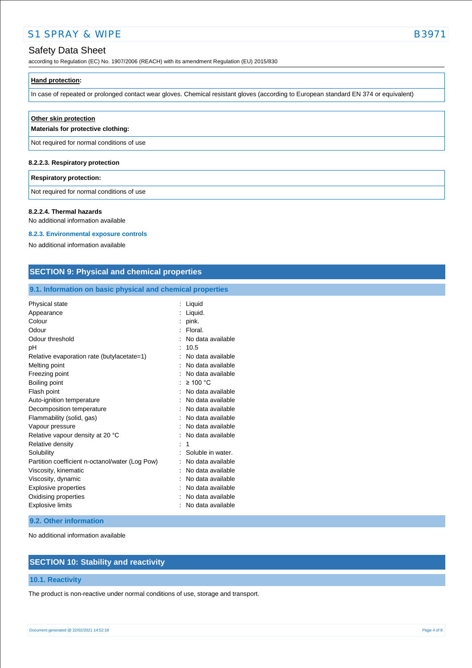## Safety Data Sheet

according to Regulation (EC) No. 1907/2006 (REACH) with its amendment Regulation (EU) 2015/830

## **Hand protection:**

In case of repeated or prolonged contact wear gloves. Chemical resistant gloves (according to European standard EN 374 or equivalent)

| Other skin protection<br>Materials for protective clothing: |
|-------------------------------------------------------------|
| Not required for normal conditions of use                   |
| 8.2.2.3. Respiratory protection                             |

#### **Respiratory protection:**

Not required for normal conditions of use

#### **8.2.2.4. Thermal hazards**

No additional information available

#### **8.2.3. Environmental exposure controls**

No additional information available

### **SECTION 9: Physical and chemical properties**

### **9.1. Information on basic physical and chemical properties**

| Physical state                                  | Liquid            |
|-------------------------------------------------|-------------------|
| Appearance                                      | Liquid.           |
| Colour                                          | pink.             |
| Odour                                           | Floral.           |
| Odour threshold                                 | No data available |
| рH                                              | 10.5              |
| Relative evaporation rate (butylacetate=1)      | No data available |
| Melting point                                   | No data available |
| Freezing point                                  | No data available |
| Boiling point                                   | $\geq 100$ °C     |
| Flash point                                     | No data available |
| Auto-ignition temperature                       | No data available |
| Decomposition temperature                       | No data available |
| Flammability (solid, gas)                       | No data available |
| Vapour pressure                                 | No data available |
| Relative vapour density at 20 °C                | No data available |
| Relative density                                | 1                 |
| Solubility                                      | Soluble in water. |
| Partition coefficient n-octanol/water (Log Pow) | No data available |
| Viscosity, kinematic                            | No data available |
| Viscosity, dynamic                              | No data available |
| <b>Explosive properties</b>                     | No data available |
| Oxidising properties                            | No data available |
| <b>Explosive limits</b>                         | No data available |

#### **9.2. Other information**

No additional information available

### **SECTION 10: Stability and reactivity**

### **10.1. Reactivity**

The product is non-reactive under normal conditions of use, storage and transport.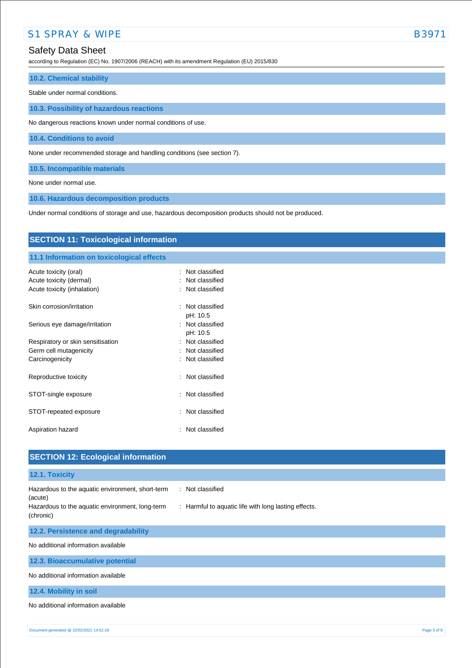## Safety Data Sheet

according to Regulation (EC) No. 1907/2006 (REACH) with its amendment Regulation (EU) 2015/830

#### **10.2. Chemical stability**

Stable under normal conditions.

**10.3. Possibility of hazardous reactions**

No dangerous reactions known under normal conditions of use.

**10.4. Conditions to avoid**

None under recommended storage and handling conditions (see section 7).

**10.5. Incompatible materials**

None under normal use.

**10.6. Hazardous decomposition products**

Under normal conditions of storage and use, hazardous decomposition products should not be produced.

| <b>SECTION 11: Toxicological information</b>     |                                               |  |
|--------------------------------------------------|-----------------------------------------------|--|
| 11.1 Information on toxicological effects        |                                               |  |
| Acute toxicity (oral)<br>Acute toxicity (dermal) | Not classified<br>$\bullet$<br>Not classified |  |
| Acute toxicity (inhalation)                      | Not classified                                |  |
| Skin corrosion/irritation                        | : Not classified<br>pH: 10.5                  |  |
| Serious eye damage/irritation                    | : Not classified<br>pH: 10.5                  |  |
| Respiratory or skin sensitisation                | Not classified                                |  |
| Germ cell mutagenicity                           | Not classified                                |  |
| Carcinogenicity                                  | Not classified<br>٠.                          |  |
| Reproductive toxicity                            | : Not classified                              |  |
| STOT-single exposure                             | Not classified                                |  |
| STOT-repeated exposure                           | : Not classified                              |  |
| Aspiration hazard                                | Not classified                                |  |
|                                                  |                                               |  |
| <b>SECTION 12: Ecological information</b>        |                                               |  |

## **12.1. Toxicity** Hazardous to the aquatic environment, short-term (acute) : Not classified Hazardous to the aquatic environment, long-term (chronic) : Harmful to aquatic life with long lasting effects. **12.2. Persistence and degradability** No additional information available **12.3. Bioaccumulative potential** No additional information available **12.4. Mobility in soil** No additional information available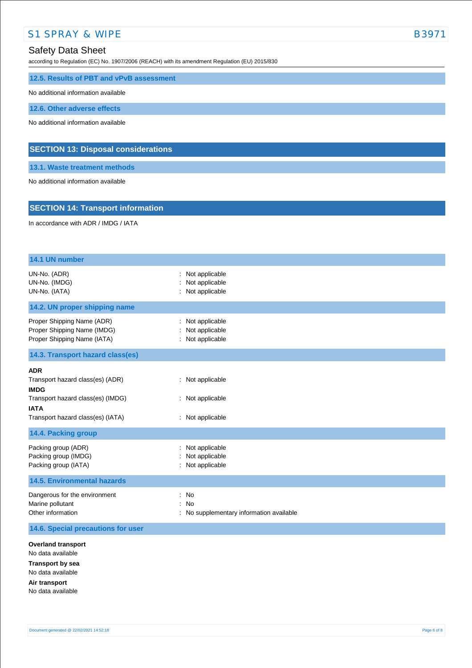according to Regulation (EC) No. 1907/2006 (REACH) with its amendment Regulation (EU) 2015/830

**12.5. Results of PBT and vPvB assessment**

No additional information available

**12.6. Other adverse effects**

No additional information available

### **SECTION 13: Disposal considerations**

**13.1. Waste treatment methods**

No additional information available

### **SECTION 14: Transport information**

In accordance with ADR / IMDG / IATA

| 14.1 UN number                                                                                                                       |                                                                                                     |
|--------------------------------------------------------------------------------------------------------------------------------------|-----------------------------------------------------------------------------------------------------|
| UN-No. (ADR)<br>UN-No. (IMDG)<br>UN-No. (IATA)                                                                                       | : Not applicable<br>Not applicable<br>Not applicable                                                |
| 14.2. UN proper shipping name                                                                                                        |                                                                                                     |
| Proper Shipping Name (ADR)<br>Proper Shipping Name (IMDG)<br>Proper Shipping Name (IATA)                                             | Not applicable<br>Not applicable<br>Not applicable                                                  |
| 14.3. Transport hazard class(es)                                                                                                     |                                                                                                     |
| <b>ADR</b><br>Transport hazard class(es) (ADR)<br><b>IMDG</b><br>Transport hazard class(es) (IMDG)                                   | : Not applicable<br>: Not applicable                                                                |
| <b>IATA</b><br>Transport hazard class(es) (IATA)                                                                                     | : Not applicable                                                                                    |
| 14.4. Packing group                                                                                                                  |                                                                                                     |
| Packing group (ADR)<br>Packing group (IMDG)<br>Packing group (IATA)                                                                  | Not applicable<br>Not applicable<br>Not applicable                                                  |
| <b>14.5. Environmental hazards</b>                                                                                                   |                                                                                                     |
| Dangerous for the environment<br>Marine pollutant<br>Other information                                                               | <b>No</b><br>$\ddot{\phantom{a}}$<br><b>No</b><br>$\cdot$<br>No supplementary information available |
| 14.6. Special precautions for user                                                                                                   |                                                                                                     |
| <b>Overland transport</b><br>No data available<br><b>Transport by sea</b><br>No data available<br>Air transport<br>No data available |                                                                                                     |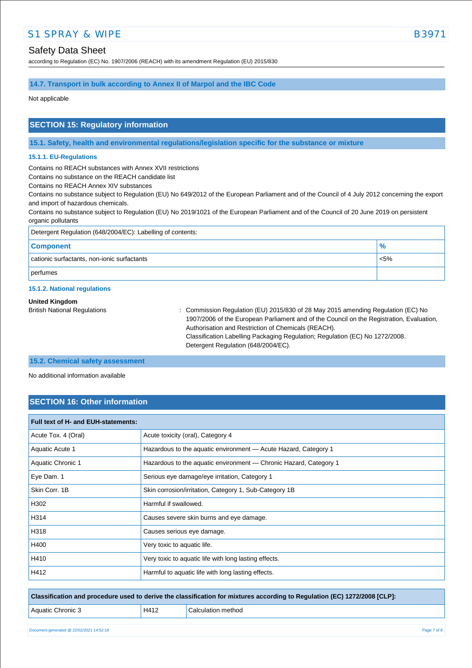according to Regulation (EC) No. 1907/2006 (REACH) with its amendment Regulation (EU) 2015/830

# **14.7. Transport in bulk according to Annex II of Marpol and the IBC Code**

Not applicable

### **SECTION 15: Regulatory information**

**15.1. Safety, health and environmental regulations/legislation specific for the substance or mixture**

#### **15.1.1. EU-Regulations**

Contains no REACH substances with Annex XVII restrictions

Contains no substance on the REACH candidate list

Contains no REACH Annex XIV substances

Contains no substance subject to Regulation (EU) No 649/2012 of the European Parliament and of the Council of 4 July 2012 concerning the export and import of hazardous chemicals.

Contains no substance subject to Regulation (EU) No 2019/1021 of the European Parliament and of the Council of 20 June 2019 on persistent organic pollutants

| Detergent Regulation (648/2004/EC): Labelling of contents: |               |  |
|------------------------------------------------------------|---------------|--|
| <b>Component</b>                                           | $\frac{9}{6}$ |  |
| cationic surfactants, non-ionic surfactants                | $< 5\%$       |  |
| perfumes                                                   |               |  |

#### **15.1.2. National regulations**

#### **United Kingdom**

British National Regulations : Commission Regulation (EU) 2015/830 of 28 May 2015 amending Regulation (EC) No 1907/2006 of the European Parliament and of the Council on the Registration, Evaluation, Authorisation and Restriction of Chemicals (REACH). Classification Labelling Packaging Regulation; Regulation (EC) No 1272/2008. Detergent Regulation (648/2004/EC).

#### **15.2. Chemical safety assessment**

No additional information available

## **SECTION 16: Other information**

| Full text of H- and EUH-statements: |                                                                   |  |
|-------------------------------------|-------------------------------------------------------------------|--|
| Acute Tox. 4 (Oral)                 | Acute toxicity (oral), Category 4                                 |  |
| Aquatic Acute 1                     | Hazardous to the aquatic environment - Acute Hazard, Category 1   |  |
| Aquatic Chronic 1                   | Hazardous to the aquatic environment - Chronic Hazard, Category 1 |  |
| Eye Dam. 1                          | Serious eye damage/eye irritation, Category 1                     |  |
| Skin Corr, 1B                       | Skin corrosion/irritation, Category 1, Sub-Category 1B            |  |
| H302                                | Harmful if swallowed.                                             |  |
| H314                                | Causes severe skin burns and eye damage.                          |  |
| H318                                | Causes serious eye damage.                                        |  |
| H400                                | Very toxic to aquatic life.                                       |  |
| H410                                | Very toxic to aquatic life with long lasting effects.             |  |
| H412                                | Harmful to aquatic life with long lasting effects.                |  |

**Classification and procedure used to derive the classification for mixtures according to Regulation (EC) 1272/2008 [CLP]:**

| H412 | Calculation method |  |
|------|--------------------|--|
|      |                    |  |

Aquatic Chronic 3